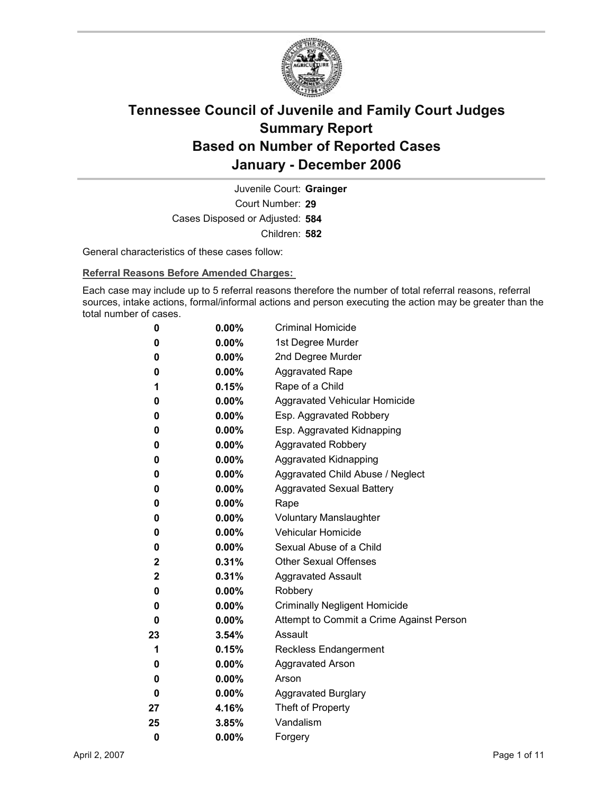

Court Number: **29** Juvenile Court: **Grainger** Cases Disposed or Adjusted: **584** Children: **582**

General characteristics of these cases follow:

**Referral Reasons Before Amended Charges:** 

Each case may include up to 5 referral reasons therefore the number of total referral reasons, referral sources, intake actions, formal/informal actions and person executing the action may be greater than the total number of cases.

| 0           | $0.00\%$ | <b>Criminal Homicide</b>                 |
|-------------|----------|------------------------------------------|
| 0           | $0.00\%$ | 1st Degree Murder                        |
| 0           | $0.00\%$ | 2nd Degree Murder                        |
| 0           | $0.00\%$ | <b>Aggravated Rape</b>                   |
| 1           | 0.15%    | Rape of a Child                          |
| 0           | $0.00\%$ | Aggravated Vehicular Homicide            |
| 0           | $0.00\%$ | Esp. Aggravated Robbery                  |
| 0           | $0.00\%$ | Esp. Aggravated Kidnapping               |
| 0           | $0.00\%$ | <b>Aggravated Robbery</b>                |
| 0           | $0.00\%$ | <b>Aggravated Kidnapping</b>             |
| 0           | $0.00\%$ | Aggravated Child Abuse / Neglect         |
| 0           | $0.00\%$ | <b>Aggravated Sexual Battery</b>         |
| 0           | $0.00\%$ | Rape                                     |
| 0           | $0.00\%$ | <b>Voluntary Manslaughter</b>            |
| 0           | $0.00\%$ | <b>Vehicular Homicide</b>                |
| 0           | $0.00\%$ | Sexual Abuse of a Child                  |
| 2           | $0.31\%$ | <b>Other Sexual Offenses</b>             |
| $\mathbf 2$ | $0.31\%$ | <b>Aggravated Assault</b>                |
| 0           | $0.00\%$ | Robbery                                  |
| 0           | $0.00\%$ | <b>Criminally Negligent Homicide</b>     |
| 0           | $0.00\%$ | Attempt to Commit a Crime Against Person |
| 23          | $3.54\%$ | Assault                                  |
| 1           | 0.15%    | <b>Reckless Endangerment</b>             |
| 0           | $0.00\%$ | <b>Aggravated Arson</b>                  |
| 0           | $0.00\%$ | Arson                                    |
| 0           | $0.00\%$ | <b>Aggravated Burglary</b>               |
| 27          | 4.16%    | Theft of Property                        |
| 25          | 3.85%    | Vandalism                                |
| 0           | 0.00%    | Forgery                                  |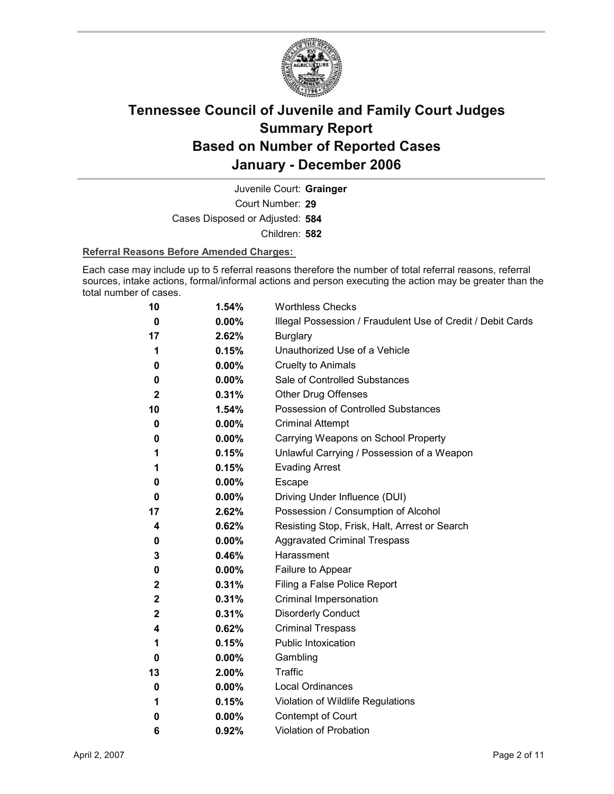

Court Number: **29** Juvenile Court: **Grainger** Cases Disposed or Adjusted: **584** Children: **582**

#### **Referral Reasons Before Amended Charges:**

Each case may include up to 5 referral reasons therefore the number of total referral reasons, referral sources, intake actions, formal/informal actions and person executing the action may be greater than the total number of cases.

| 10           | 1.54%    | <b>Worthless Checks</b>                                     |
|--------------|----------|-------------------------------------------------------------|
| 0            | $0.00\%$ | Illegal Possession / Fraudulent Use of Credit / Debit Cards |
| 17           | 2.62%    | <b>Burglary</b>                                             |
| 1            | 0.15%    | Unauthorized Use of a Vehicle                               |
| 0            | 0.00%    | <b>Cruelty to Animals</b>                                   |
| 0            | 0.00%    | Sale of Controlled Substances                               |
| $\mathbf 2$  | 0.31%    | <b>Other Drug Offenses</b>                                  |
| 10           | 1.54%    | Possession of Controlled Substances                         |
| 0            | 0.00%    | <b>Criminal Attempt</b>                                     |
| 0            | 0.00%    | Carrying Weapons on School Property                         |
| 1            | 0.15%    | Unlawful Carrying / Possession of a Weapon                  |
| 1            | 0.15%    | <b>Evading Arrest</b>                                       |
| 0            | $0.00\%$ | Escape                                                      |
| 0            | $0.00\%$ | Driving Under Influence (DUI)                               |
| 17           | 2.62%    | Possession / Consumption of Alcohol                         |
| 4            | 0.62%    | Resisting Stop, Frisk, Halt, Arrest or Search               |
| 0            | 0.00%    | <b>Aggravated Criminal Trespass</b>                         |
| 3            | 0.46%    | Harassment                                                  |
| 0            | 0.00%    | Failure to Appear                                           |
| $\mathbf{2}$ | 0.31%    | Filing a False Police Report                                |
| $\mathbf 2$  | 0.31%    | Criminal Impersonation                                      |
| $\mathbf 2$  | 0.31%    | <b>Disorderly Conduct</b>                                   |
| 4            | 0.62%    | <b>Criminal Trespass</b>                                    |
| 1            | 0.15%    | <b>Public Intoxication</b>                                  |
| 0            | $0.00\%$ | Gambling                                                    |
| 13           | 2.00%    | <b>Traffic</b>                                              |
| 0            | $0.00\%$ | <b>Local Ordinances</b>                                     |
| 1            | 0.15%    | Violation of Wildlife Regulations                           |
| 0            | $0.00\%$ | Contempt of Court                                           |
| 6            | 0.92%    | <b>Violation of Probation</b>                               |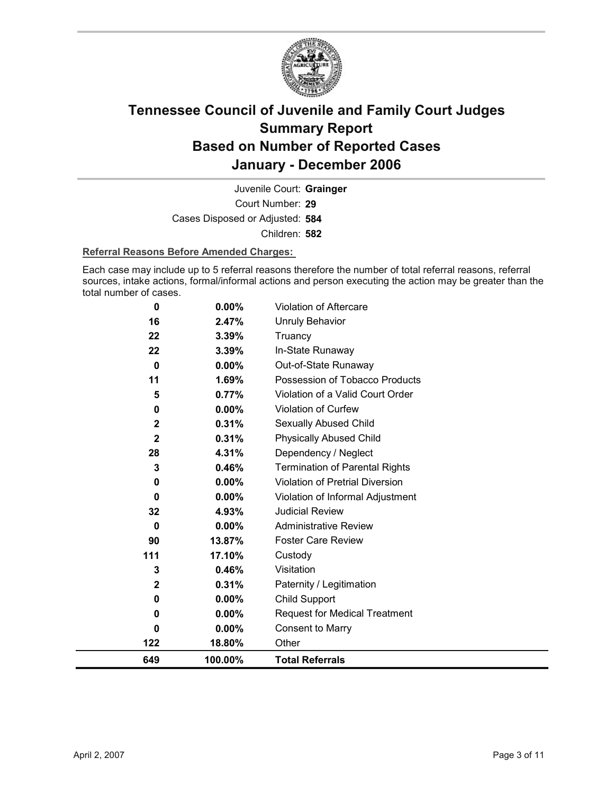

Court Number: **29** Juvenile Court: **Grainger** Cases Disposed or Adjusted: **584** Children: **582**

#### **Referral Reasons Before Amended Charges:**

Each case may include up to 5 referral reasons therefore the number of total referral reasons, referral sources, intake actions, formal/informal actions and person executing the action may be greater than the total number of cases.

| 649          | 100.00%  | <b>Total Referrals</b>                 |
|--------------|----------|----------------------------------------|
| 122          | 18.80%   | Other                                  |
| 0            | 0.00%    | <b>Consent to Marry</b>                |
| $\bf{0}$     | $0.00\%$ | <b>Request for Medical Treatment</b>   |
| 0            | 0.00%    | Child Support                          |
| $\mathbf{2}$ | 0.31%    | Paternity / Legitimation               |
| 3            | 0.46%    | Visitation                             |
| 111          | 17.10%   | Custody                                |
| 90           | 13.87%   | <b>Foster Care Review</b>              |
| $\bf{0}$     | $0.00\%$ | <b>Administrative Review</b>           |
| 32           | 4.93%    | <b>Judicial Review</b>                 |
| 0            | $0.00\%$ | Violation of Informal Adjustment       |
| 0            | 0.00%    | <b>Violation of Pretrial Diversion</b> |
| 3            | 0.46%    | <b>Termination of Parental Rights</b>  |
| 28           | 4.31%    | Dependency / Neglect                   |
| $\mathbf 2$  | 0.31%    | <b>Physically Abused Child</b>         |
| $\mathbf 2$  | 0.31%    | Sexually Abused Child                  |
| 0            | $0.00\%$ | <b>Violation of Curfew</b>             |
| 5            | 0.77%    | Violation of a Valid Court Order       |
| 11           | 1.69%    | Possession of Tobacco Products         |
| $\bf{0}$     | 0.00%    | Out-of-State Runaway                   |
| 22           | 3.39%    | In-State Runaway                       |
| 22           | 3.39%    | Truancy                                |
| 16           | 2.47%    | Unruly Behavior                        |
| 0            | 0.00%    | Violation of Aftercare                 |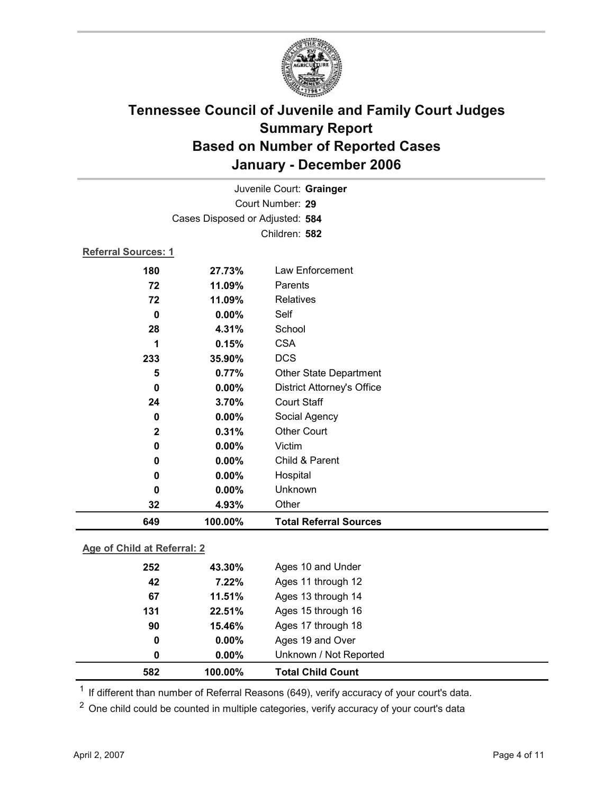

| Juvenile Court: Grainger       |                                 |                                   |  |
|--------------------------------|---------------------------------|-----------------------------------|--|
|                                | Court Number: 29                |                                   |  |
|                                | Cases Disposed or Adjusted: 584 |                                   |  |
|                                |                                 | Children: 582                     |  |
| Referral Sources: 1            |                                 |                                   |  |
| 180                            | 27.73%                          | Law Enforcement                   |  |
| 72                             | 11.09%                          | Parents                           |  |
| 72                             | 11.09%                          | Relatives                         |  |
| $\bf{0}$                       | 0.00%                           | Self                              |  |
| 28                             | 4.31%                           | School                            |  |
| 1                              | 0.15%                           | <b>CSA</b>                        |  |
| 233                            | 35.90%                          | <b>DCS</b>                        |  |
| 5                              | 0.77%                           | <b>Other State Department</b>     |  |
| $\mathbf 0$                    | 0.00%                           | <b>District Attorney's Office</b> |  |
| 24                             | 3.70%                           | <b>Court Staff</b>                |  |
| 0                              | 0.00%                           | Social Agency                     |  |
| $\mathbf 2$                    | 0.31%                           | <b>Other Court</b>                |  |
| $\mathbf 0$                    | 0.00%                           | Victim                            |  |
| 0                              | 0.00%                           | Child & Parent                    |  |
| $\bf{0}$                       | $0.00\%$                        | Hospital                          |  |
| 0                              | 0.00%                           | Unknown                           |  |
| 32                             | 4.93%                           | Other                             |  |
| 649                            | 100.00%                         | <b>Total Referral Sources</b>     |  |
| Assay of Obilial at Dafamely O |                                 |                                   |  |

### **Age of Child at Referral: 2**

| 582 | 100.00%  | <b>Total Child Count</b> |  |
|-----|----------|--------------------------|--|
| 0   | $0.00\%$ | Unknown / Not Reported   |  |
| 0   | $0.00\%$ | Ages 19 and Over         |  |
| 90  | 15.46%   | Ages 17 through 18       |  |
| 131 | 22.51%   | Ages 15 through 16       |  |
| 67  | 11.51%   | Ages 13 through 14       |  |
| 42  | 7.22%    | Ages 11 through 12       |  |
| 252 | 43.30%   | Ages 10 and Under        |  |
|     |          |                          |  |

<sup>1</sup> If different than number of Referral Reasons (649), verify accuracy of your court's data.

<sup>2</sup> One child could be counted in multiple categories, verify accuracy of your court's data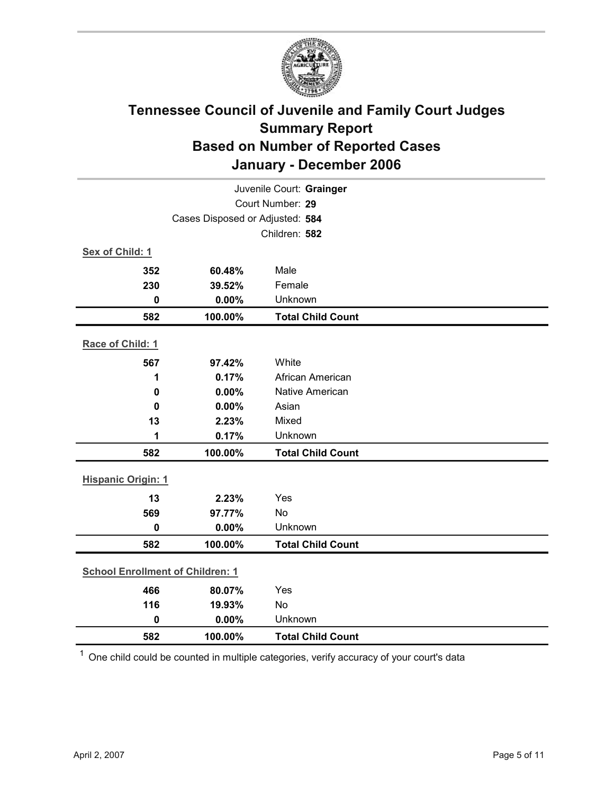

| Juvenile Court: Grainger                |                                 |                          |  |
|-----------------------------------------|---------------------------------|--------------------------|--|
|                                         | Court Number: 29                |                          |  |
|                                         | Cases Disposed or Adjusted: 584 |                          |  |
|                                         |                                 | Children: 582            |  |
| Sex of Child: 1                         |                                 |                          |  |
| 352                                     | 60.48%                          | Male                     |  |
| 230                                     | 39.52%                          | Female                   |  |
| $\mathbf 0$                             | 0.00%                           | Unknown                  |  |
| 582                                     | 100.00%                         | <b>Total Child Count</b> |  |
| Race of Child: 1                        |                                 |                          |  |
| 567                                     | 97.42%                          | White                    |  |
| 1                                       | 0.17%                           | African American         |  |
| $\mathbf 0$                             | 0.00%                           | Native American          |  |
| $\mathbf 0$                             | 0.00%                           | Asian                    |  |
| 13                                      | 2.23%                           | Mixed                    |  |
| 1                                       | 0.17%                           | Unknown                  |  |
| 582                                     | 100.00%                         | <b>Total Child Count</b> |  |
| <b>Hispanic Origin: 1</b>               |                                 |                          |  |
| 13                                      | 2.23%                           | Yes                      |  |
| 569                                     | 97.77%                          | No                       |  |
| $\mathbf 0$                             | 0.00%                           | Unknown                  |  |
| 582                                     | 100.00%                         | <b>Total Child Count</b> |  |
| <b>School Enrollment of Children: 1</b> |                                 |                          |  |
| 466                                     | 80.07%                          | Yes                      |  |
| 116                                     | 19.93%                          | <b>No</b>                |  |
| $\mathbf 0$                             | 0.00%                           | Unknown                  |  |
| 582                                     | 100.00%                         | <b>Total Child Count</b> |  |

 $1$  One child could be counted in multiple categories, verify accuracy of your court's data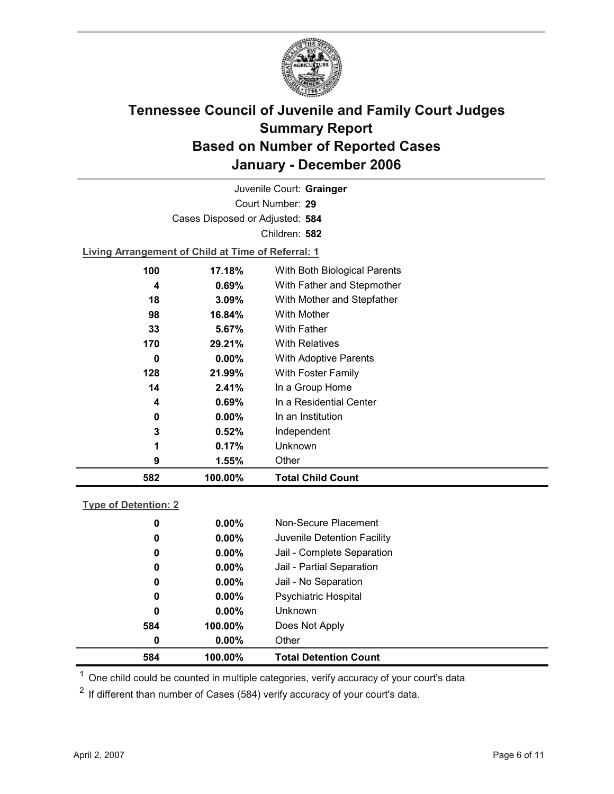

Court Number: **29** Juvenile Court: **Grainger** Cases Disposed or Adjusted: **584** Children: **582**

**Living Arrangement of Child at Time of Referral: 1**

| 582 | 100.00%  | <b>Total Child Count</b>     |
|-----|----------|------------------------------|
| 9   | 1.55%    | Other                        |
| 1   | 0.17%    | Unknown                      |
| 3   | 0.52%    | Independent                  |
| 0   | $0.00\%$ | In an Institution            |
| 4   | 0.69%    | In a Residential Center      |
| 14  | 2.41%    | In a Group Home              |
| 128 | 21.99%   | With Foster Family           |
| 0   | $0.00\%$ | <b>With Adoptive Parents</b> |
| 170 | 29.21%   | <b>With Relatives</b>        |
| 33  | 5.67%    | With Father                  |
| 98  | 16.84%   | With Mother                  |
| 18  | 3.09%    | With Mother and Stepfather   |
| 4   | $0.69\%$ | With Father and Stepmother   |
| 100 | 17.18%   | With Both Biological Parents |
|     |          |                              |

#### **Type of Detention: 2**

| 584 | 100.00%  | <b>Total Detention Count</b> |
|-----|----------|------------------------------|
| 0   | $0.00\%$ | Other                        |
| 584 | 100.00%  | Does Not Apply               |
| 0   | $0.00\%$ | <b>Unknown</b>               |
| 0   | $0.00\%$ | Psychiatric Hospital         |
| 0   | $0.00\%$ | Jail - No Separation         |
| 0   | $0.00\%$ | Jail - Partial Separation    |
| 0   | $0.00\%$ | Jail - Complete Separation   |
| 0   | $0.00\%$ | Juvenile Detention Facility  |
| 0   | $0.00\%$ | Non-Secure Placement         |
|     |          |                              |

 $<sup>1</sup>$  One child could be counted in multiple categories, verify accuracy of your court's data</sup>

 $2$  If different than number of Cases (584) verify accuracy of your court's data.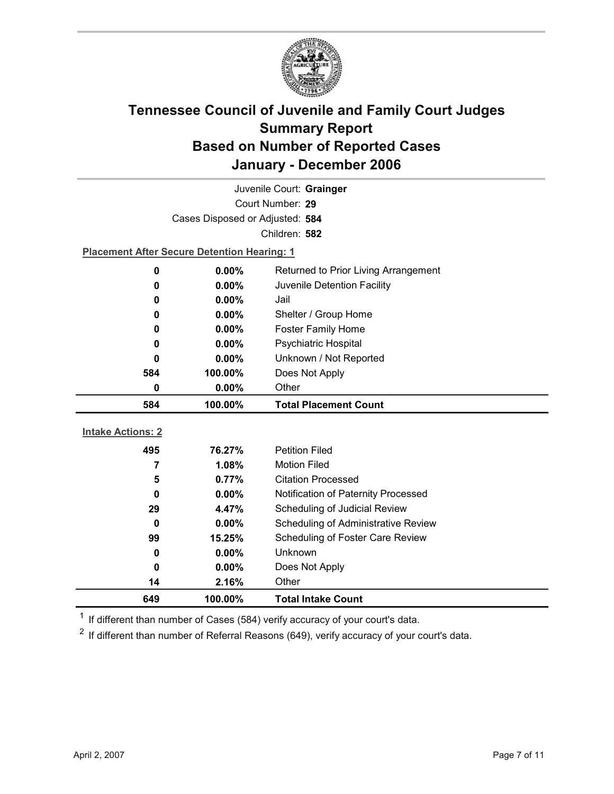

| Juvenile Court: Grainger |                                                    |                                     |  |  |
|--------------------------|----------------------------------------------------|-------------------------------------|--|--|
| Court Number: 29         |                                                    |                                     |  |  |
|                          | Cases Disposed or Adjusted: 584                    |                                     |  |  |
|                          |                                                    | Children: 582                       |  |  |
|                          | <b>Placement After Secure Detention Hearing: 1</b> |                                     |  |  |
| $\mathbf 0$              | 0.00%<br>Returned to Prior Living Arrangement      |                                     |  |  |
| $\bf{0}$                 | 0.00%<br>Juvenile Detention Facility               |                                     |  |  |
| 0                        | $0.00\%$                                           | Jail                                |  |  |
| 0                        | Shelter / Group Home<br>0.00%                      |                                     |  |  |
| $\bf{0}$                 | $0.00\%$                                           | <b>Foster Family Home</b>           |  |  |
| 0                        | <b>Psychiatric Hospital</b><br>$0.00\%$            |                                     |  |  |
| $\bf{0}$                 | Unknown / Not Reported<br>$0.00\%$                 |                                     |  |  |
| 584                      | 100.00%                                            | Does Not Apply                      |  |  |
| $\bf{0}$                 | 0.00%                                              | Other                               |  |  |
|                          |                                                    |                                     |  |  |
| 584                      | 100.00%                                            | <b>Total Placement Count</b>        |  |  |
|                          |                                                    |                                     |  |  |
| <b>Intake Actions: 2</b> |                                                    |                                     |  |  |
| 495                      | 76.27%                                             | <b>Petition Filed</b>               |  |  |
| 7                        | 1.08%                                              | <b>Motion Filed</b>                 |  |  |
| 5                        | 0.77%                                              | <b>Citation Processed</b>           |  |  |
| $\bf{0}$                 | 0.00%                                              | Notification of Paternity Processed |  |  |
| 29                       | 4.47%                                              | Scheduling of Judicial Review       |  |  |
| $\bf{0}$                 | 0.00%                                              | Scheduling of Administrative Review |  |  |
| 99                       | 15.25%                                             | Scheduling of Foster Care Review    |  |  |
| 0                        | $0.00\%$                                           | Unknown                             |  |  |
| $\bf{0}$                 | $0.00\%$                                           | Does Not Apply                      |  |  |
| 14<br>649                | 2.16%<br>100.00%                                   | Other<br><b>Total Intake Count</b>  |  |  |

 $1$  If different than number of Cases (584) verify accuracy of your court's data.

 $2$  If different than number of Referral Reasons (649), verify accuracy of your court's data.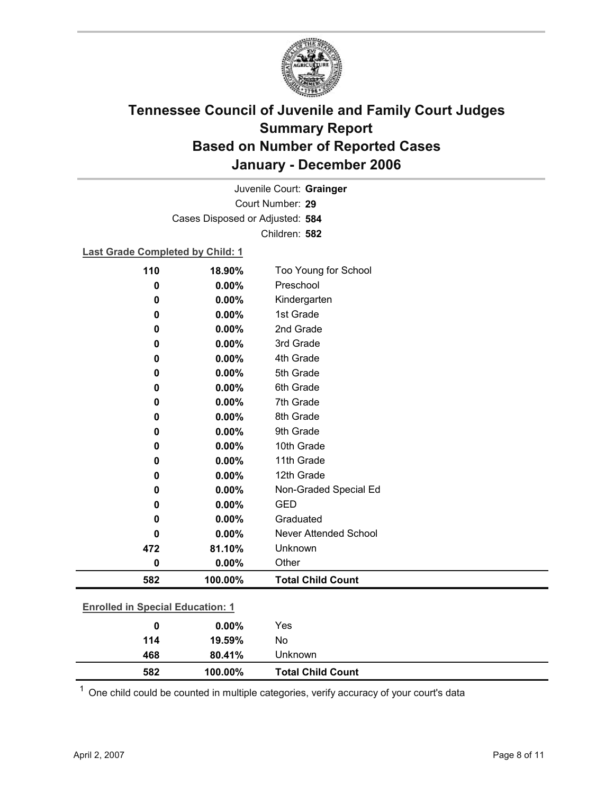

Court Number: **29** Juvenile Court: **Grainger** Cases Disposed or Adjusted: **584** Children: **582**

### **Last Grade Completed by Child: 1**

| 110                                     | 18.90%  | Too Young for School         |  |
|-----------------------------------------|---------|------------------------------|--|
| 0                                       | 0.00%   | Preschool                    |  |
| 0                                       | 0.00%   | Kindergarten                 |  |
| 0                                       | 0.00%   | 1st Grade                    |  |
| 0                                       | 0.00%   | 2nd Grade                    |  |
| 0                                       | 0.00%   | 3rd Grade                    |  |
| 0                                       | 0.00%   | 4th Grade                    |  |
| 0                                       | 0.00%   | 5th Grade                    |  |
| 0                                       | 0.00%   | 6th Grade                    |  |
| 0                                       | 0.00%   | 7th Grade                    |  |
| 0                                       | 0.00%   | 8th Grade                    |  |
| 0                                       | 0.00%   | 9th Grade                    |  |
| 0                                       | 0.00%   | 10th Grade                   |  |
| 0                                       | 0.00%   | 11th Grade                   |  |
| 0                                       | 0.00%   | 12th Grade                   |  |
| 0                                       | 0.00%   | Non-Graded Special Ed        |  |
| 0                                       | 0.00%   | <b>GED</b>                   |  |
| 0                                       | 0.00%   | Graduated                    |  |
| 0                                       | 0.00%   | <b>Never Attended School</b> |  |
| 472                                     | 81.10%  | Unknown                      |  |
| $\bf{0}$                                | 0.00%   | Other                        |  |
| 582                                     | 100.00% | <b>Total Child Count</b>     |  |
| <b>Enrolled in Special Education: 1</b> |         |                              |  |
| $\mathbf 0$                             | 0.00%   | Yes                          |  |
| 114                                     | 19.59%  | No                           |  |

**582 100.00% Total Child Count**  $1$  One child could be counted in multiple categories, verify accuracy of your court's data

**468 80.41%** Unknown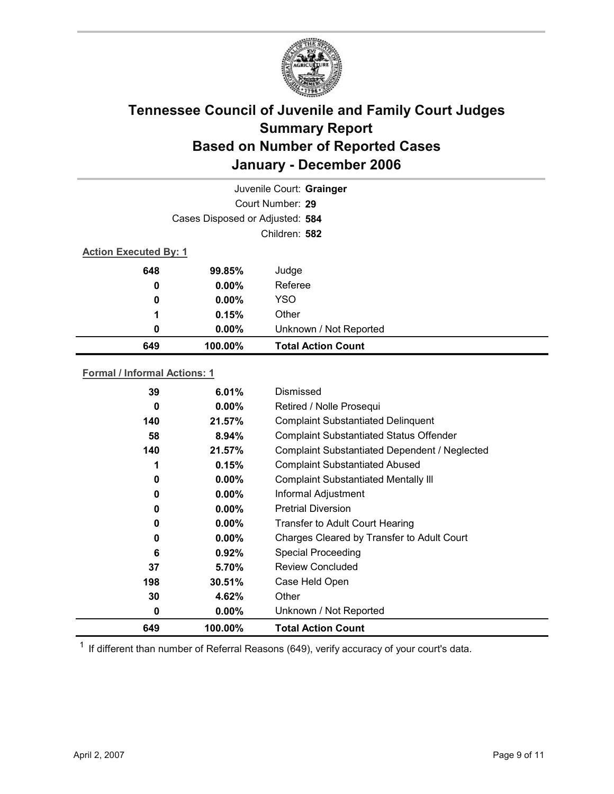

|     | Juvenile Court: Grainger        |                           |  |  |  |
|-----|---------------------------------|---------------------------|--|--|--|
|     | Court Number: 29                |                           |  |  |  |
|     | Cases Disposed or Adjusted: 584 |                           |  |  |  |
|     | Children: 582                   |                           |  |  |  |
|     | <b>Action Executed By: 1</b>    |                           |  |  |  |
| 648 | 99.85%                          | Judge                     |  |  |  |
| 0   | $0.00\%$                        | Referee                   |  |  |  |
| 0   | $0.00\%$                        | <b>YSO</b>                |  |  |  |
| 1   | 0.15%                           | Other                     |  |  |  |
| 0   | $0.00\%$                        | Unknown / Not Reported    |  |  |  |
| 649 | 100.00%                         | <b>Total Action Count</b> |  |  |  |

### **Formal / Informal Actions: 1**

| 39  | 6.01%    | Dismissed                                      |
|-----|----------|------------------------------------------------|
| 0   | $0.00\%$ | Retired / Nolle Prosequi                       |
| 140 | 21.57%   | <b>Complaint Substantiated Delinquent</b>      |
| 58  | 8.94%    | <b>Complaint Substantiated Status Offender</b> |
| 140 | 21.57%   | Complaint Substantiated Dependent / Neglected  |
| 1   | 0.15%    | <b>Complaint Substantiated Abused</b>          |
| 0   | $0.00\%$ | <b>Complaint Substantiated Mentally III</b>    |
| 0   | $0.00\%$ | Informal Adjustment                            |
| 0   | $0.00\%$ | <b>Pretrial Diversion</b>                      |
| 0   | $0.00\%$ | <b>Transfer to Adult Court Hearing</b>         |
| 0   | $0.00\%$ | Charges Cleared by Transfer to Adult Court     |
| 6   | 0.92%    | <b>Special Proceeding</b>                      |
| 37  | 5.70%    | <b>Review Concluded</b>                        |
| 198 | 30.51%   | Case Held Open                                 |
| 30  | 4.62%    | Other                                          |
| 0   | $0.00\%$ | Unknown / Not Reported                         |
| 649 | 100.00%  | <b>Total Action Count</b>                      |

 $1$  If different than number of Referral Reasons (649), verify accuracy of your court's data.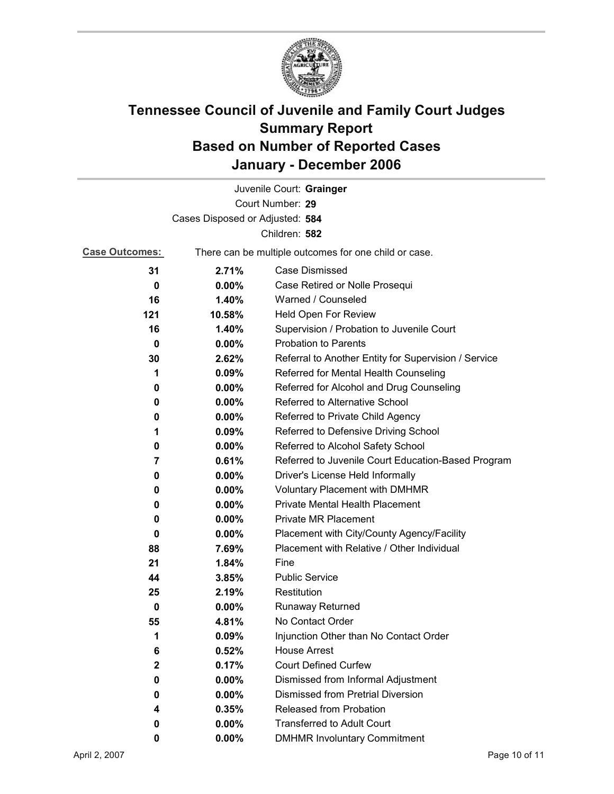

|                                 |          | Juvenile Court: Grainger                              |  |
|---------------------------------|----------|-------------------------------------------------------|--|
|                                 |          | Court Number: 29                                      |  |
| Cases Disposed or Adjusted: 584 |          |                                                       |  |
|                                 |          | Children: 582                                         |  |
| <b>Case Outcomes:</b>           |          | There can be multiple outcomes for one child or case. |  |
| 31                              | 2.71%    | <b>Case Dismissed</b>                                 |  |
| 0                               | $0.00\%$ | Case Retired or Nolle Prosequi                        |  |
| 16                              | 1.40%    | Warned / Counseled                                    |  |
| 121                             | 10.58%   | Held Open For Review                                  |  |
| 16                              | 1.40%    | Supervision / Probation to Juvenile Court             |  |
| $\bf{0}$                        | $0.00\%$ | <b>Probation to Parents</b>                           |  |
| 30                              | 2.62%    | Referral to Another Entity for Supervision / Service  |  |
| 1                               | 0.09%    | Referred for Mental Health Counseling                 |  |
| 0                               | $0.00\%$ | Referred for Alcohol and Drug Counseling              |  |
| 0                               | $0.00\%$ | Referred to Alternative School                        |  |
| 0                               | $0.00\%$ | Referred to Private Child Agency                      |  |
| 1                               | $0.09\%$ | Referred to Defensive Driving School                  |  |
| 0                               | $0.00\%$ | Referred to Alcohol Safety School                     |  |
| 7                               | 0.61%    | Referred to Juvenile Court Education-Based Program    |  |
| 0                               | $0.00\%$ | Driver's License Held Informally                      |  |
| 0                               | $0.00\%$ | <b>Voluntary Placement with DMHMR</b>                 |  |
| 0                               | $0.00\%$ | <b>Private Mental Health Placement</b>                |  |
| 0                               | $0.00\%$ | <b>Private MR Placement</b>                           |  |
| 0                               | $0.00\%$ | Placement with City/County Agency/Facility            |  |
| 88                              | 7.69%    | Placement with Relative / Other Individual            |  |
| 21                              | 1.84%    | Fine                                                  |  |
| 44                              | 3.85%    | <b>Public Service</b>                                 |  |
| 25                              | 2.19%    | Restitution                                           |  |
| $\bf{0}$                        | $0.00\%$ | <b>Runaway Returned</b>                               |  |
| 55                              | 4.81%    | No Contact Order                                      |  |
| 1                               | 0.09%    | Injunction Other than No Contact Order                |  |
| 6                               | 0.52%    | <b>House Arrest</b>                                   |  |
| $\mathbf{2}$                    | 0.17%    | <b>Court Defined Curfew</b>                           |  |
| 0                               | $0.00\%$ | Dismissed from Informal Adjustment                    |  |
| 0                               | $0.00\%$ | <b>Dismissed from Pretrial Diversion</b>              |  |
| 4                               | 0.35%    | Released from Probation                               |  |
| 0                               | $0.00\%$ | <b>Transferred to Adult Court</b>                     |  |
| 0                               | $0.00\%$ | <b>DMHMR Involuntary Commitment</b>                   |  |